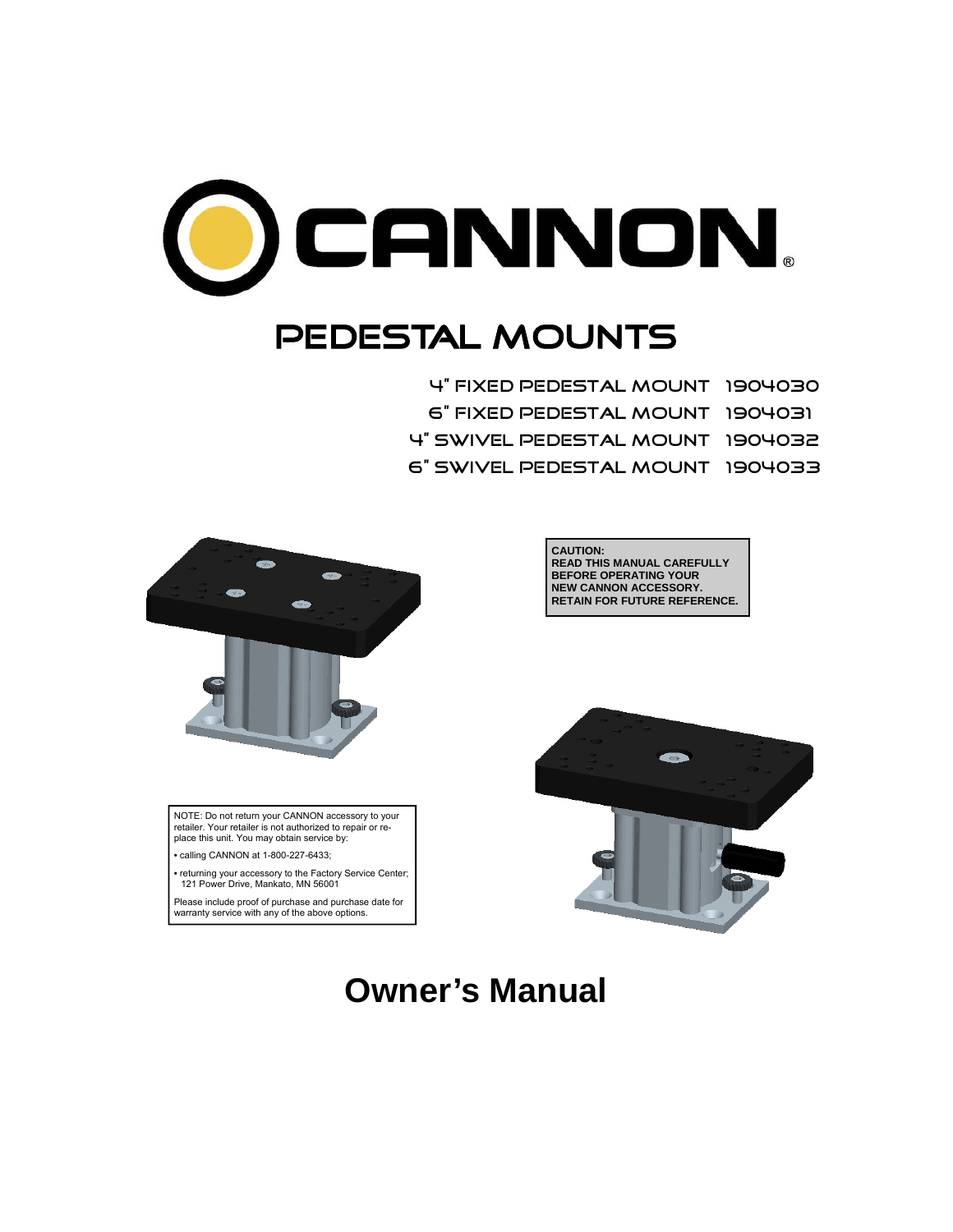

# PEDESTAL MOUNTS

4" Fixed Pedestal mount 1904030 6" Fixed Pedestal mount 1904031 4" Swivel Pedestal mount 1904032 6" Swivel Pedestal mount 1904033



NOTE: Do not return your CANNON accessory to your retailer. Your retailer is not authorized to repair or replace this unit. You may obtain service by:

**•** calling CANNON at 1-800-227-6433;

**•** returning your accessory to the Factory Service Center; 121 Power Drive, Mankato, MN 56001

Please include proof of purchase and purchase date for warranty service with any of the above options.





# **Owner's Manual**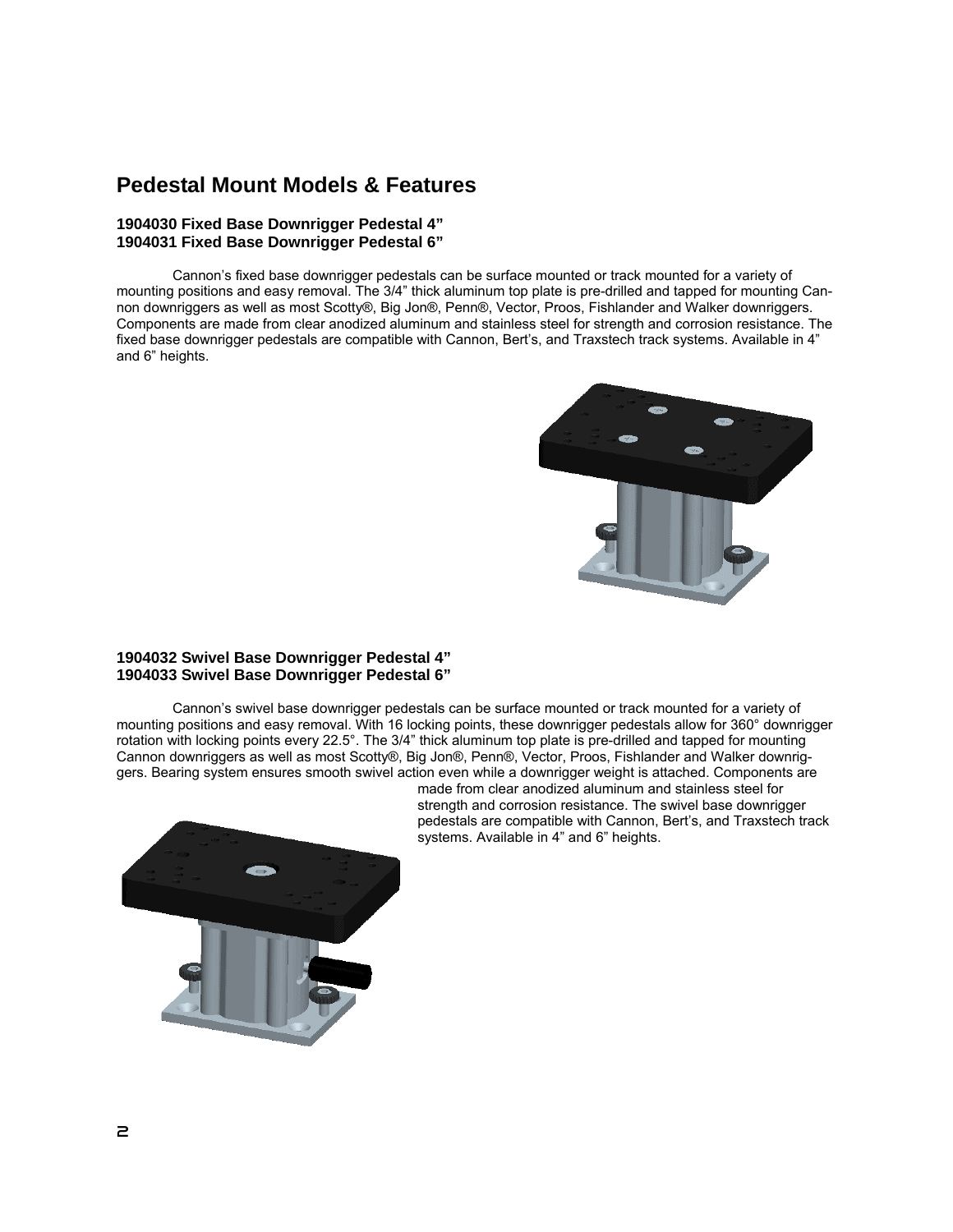## **Pedestal Mount Models & Features**

### **1904030 Fixed Base Downrigger Pedestal 4" 1904031 Fixed Base Downrigger Pedestal 6"**

 Cannon's fixed base downrigger pedestals can be surface mounted or track mounted for a variety of mounting positions and easy removal. The 3/4" thick aluminum top plate is pre-drilled and tapped for mounting Cannon downriggers as well as most Scotty®, Big Jon®, Penn®, Vector, Proos, Fishlander and Walker downriggers. Components are made from clear anodized aluminum and stainless steel for strength and corrosion resistance. The fixed base downrigger pedestals are compatible with Cannon, Bert's, and Traxstech track systems. Available in 4" and 6" heights.



### **1904032 Swivel Base Downrigger Pedestal 4" 1904033 Swivel Base Downrigger Pedestal 6"**

 Cannon's swivel base downrigger pedestals can be surface mounted or track mounted for a variety of mounting positions and easy removal. With 16 locking points, these downrigger pedestals allow for 360° downrigger rotation with locking points every 22.5°. The 3/4" thick aluminum top plate is pre-drilled and tapped for mounting Cannon downriggers as well as most Scotty®, Big Jon®, Penn®, Vector, Proos, Fishlander and Walker downriggers. Bearing system ensures smooth swivel action even while a downrigger weight is attached. Components are



made from clear anodized aluminum and stainless steel for strength and corrosion resistance. The swivel base downrigger pedestals are compatible with Cannon, Bert's, and Traxstech track systems. Available in 4" and 6" heights.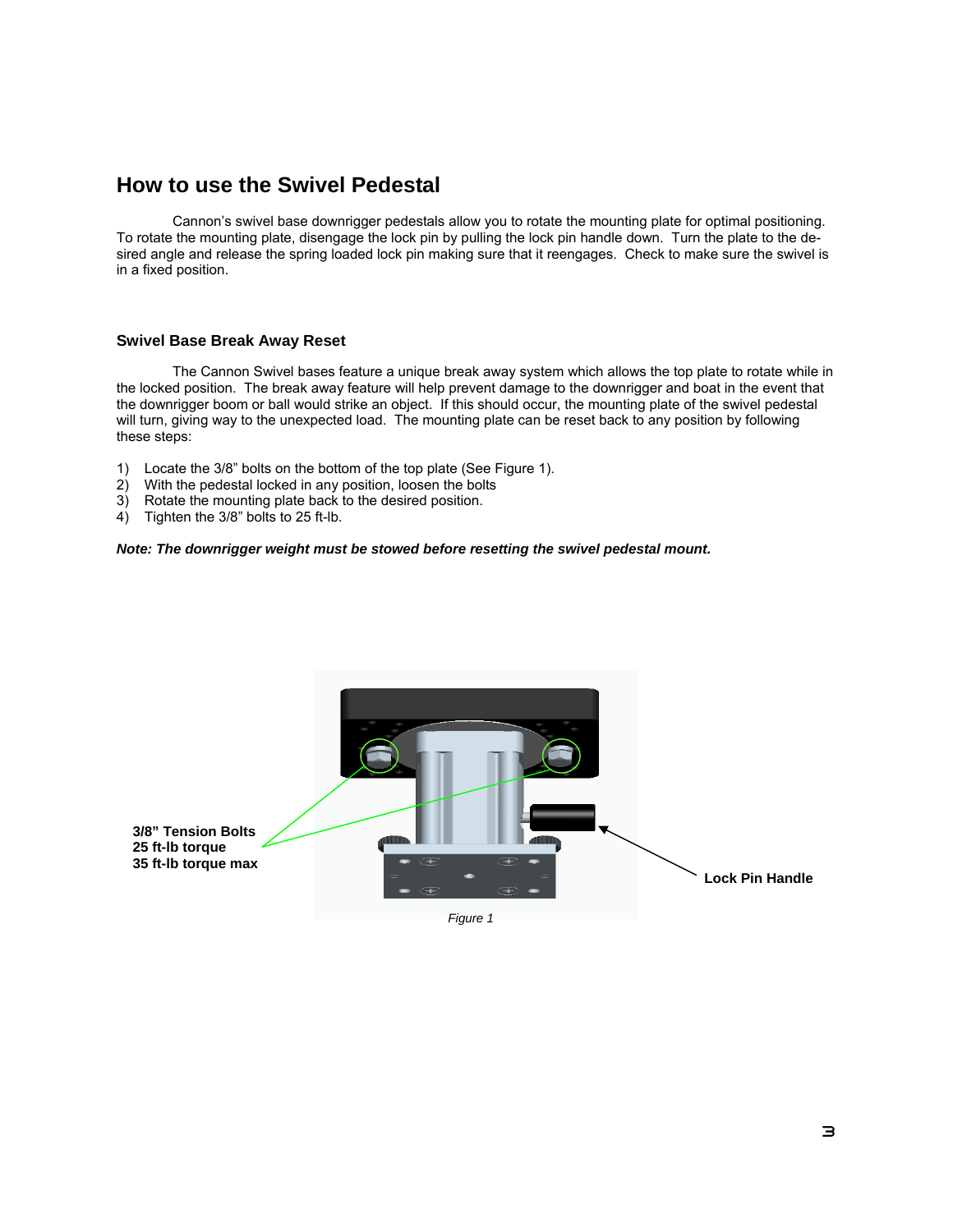## **How to use the Swivel Pedestal**

 Cannon's swivel base downrigger pedestals allow you to rotate the mounting plate for optimal positioning. To rotate the mounting plate, disengage the lock pin by pulling the lock pin handle down. Turn the plate to the desired angle and release the spring loaded lock pin making sure that it reengages. Check to make sure the swivel is in a fixed position.

### **Swivel Base Break Away Reset**

 The Cannon Swivel bases feature a unique break away system which allows the top plate to rotate while in the locked position. The break away feature will help prevent damage to the downrigger and boat in the event that the downrigger boom or ball would strike an object. If this should occur, the mounting plate of the swivel pedestal will turn, giving way to the unexpected load. The mounting plate can be reset back to any position by following these steps:

- 1) Locate the 3/8" bolts on the bottom of the top plate (See Figure 1).
- 2) With the pedestal locked in any position, loosen the bolts
- 3) Rotate the mounting plate back to the desired position.
- 4) Tighten the 3/8" bolts to 25 ft-lb.

### *Note: The downrigger weight must be stowed before resetting the swivel pedestal mount.*



*Figure 1*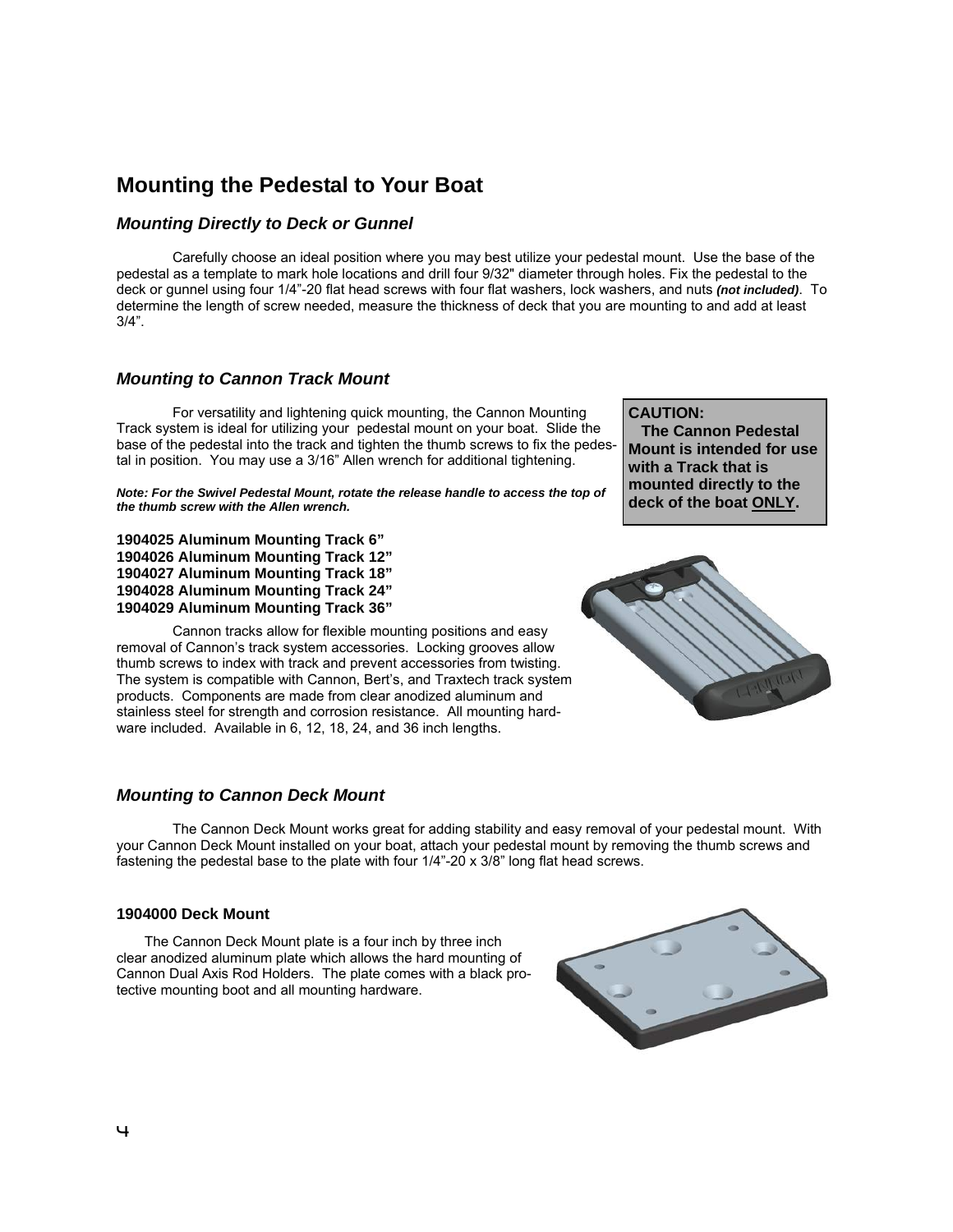# **Mounting the Pedestal to Your Boat**

### *Mounting Directly to Deck or Gunnel*

 Carefully choose an ideal position where you may best utilize your pedestal mount. Use the base of the pedestal as a template to mark hole locations and drill four 9/32" diameter through holes. Fix the pedestal to the deck or gunnel using four 1/4"-20 flat head screws with four flat washers, lock washers, and nuts *(not included)*. To determine the length of screw needed, measure the thickness of deck that you are mounting to and add at least 3/4".

### *Mounting to Cannon Track Mount*

 For versatility and lightening quick mounting, the Cannon Mounting Track system is ideal for utilizing your pedestal mount on your boat. Slide the base of the pedestal into the track and tighten the thumb screws to fix the pedestal in position. You may use a 3/16" Allen wrench for additional tightening.

*Note: For the Swivel Pedestal Mount, rotate the release handle to access the top of the thumb screw with the Allen wrench.* 

**1904025 Aluminum Mounting Track 6" 1904026 Aluminum Mounting Track 12" 1904027 Aluminum Mounting Track 18" 1904028 Aluminum Mounting Track 24" 1904029 Aluminum Mounting Track 36"** 

Cannon tracks allow for flexible mounting positions and easy removal of Cannon's track system accessories. Locking grooves allow thumb screws to index with track and prevent accessories from twisting. The system is compatible with Cannon, Bert's, and Traxtech track system products. Components are made from clear anodized aluminum and stainless steel for strength and corrosion resistance. All mounting hardware included. Available in 6, 12, 18, 24, and 36 inch lengths.

# **CAUTION:**

 **The Cannon Pedestal Mount is intended for use with a Track that is mounted directly to the deck of the boat ONLY.** 



### *Mounting to Cannon Deck Mount*

 The Cannon Deck Mount works great for adding stability and easy removal of your pedestal mount. With your Cannon Deck Mount installed on your boat, attach your pedestal mount by removing the thumb screws and fastening the pedestal base to the plate with four 1/4"-20 x 3/8" long flat head screws.

### **1904000 Deck Mount**

 The Cannon Deck Mount plate is a four inch by three inch clear anodized aluminum plate which allows the hard mounting of Cannon Dual Axis Rod Holders. The plate comes with a black protective mounting boot and all mounting hardware.

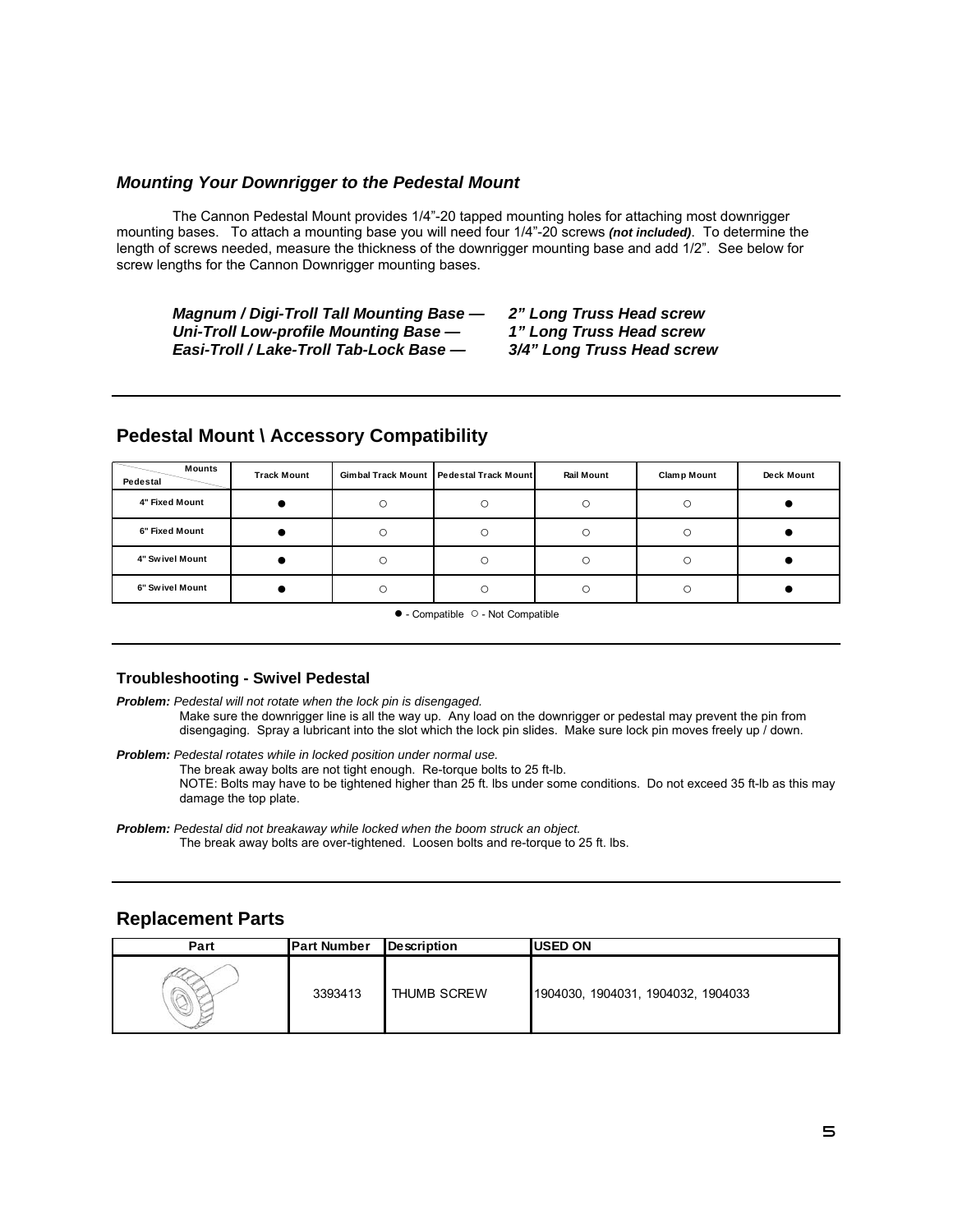### *Mounting Your Downrigger to the Pedestal Mount*

 The Cannon Pedestal Mount provides 1/4"-20 tapped mounting holes for attaching most downrigger mounting bases. To attach a mounting base you will need four 1/4"-20 screws *(not included)*. To determine the length of screws needed, measure the thickness of the downrigger mounting base and add 1/2". See below for screw lengths for the Cannon Downrigger mounting bases.

*Magnum / Digi-Troll Tall Mounting Base — 2" Long Truss Head screw Uni-Troll Low-profile Mounting Base — 1" Long Truss Head screw Easi-Troll / Lake-Troll Tab-Lock Base — 3/4" Long Truss Head screw* 

| Mounts<br>Pedestal | <b>Track Mount</b> | Gimbal Track Mount Pedestal Track Mount | <b>Rail Mount</b> | <b>Clamp Mount</b> | <b>Deck Mount</b> |
|--------------------|--------------------|-----------------------------------------|-------------------|--------------------|-------------------|
| 4" Fixed Mount     |                    |                                         | C                 |                    |                   |
| 6" Fixed Mount     |                    |                                         | C                 |                    |                   |
| 4" Swivel Mount    |                    | C                                       | C                 |                    |                   |
| 6" Swivel Mount    |                    | C                                       | C                 |                    |                   |

### **Pedestal Mount \ Accessory Compatibility**

● - Compatible ○ - Not Compatible

### **Troubleshooting - Swivel Pedestal**

*Problem: Pedestal will not rotate when the lock pin is disengaged.*  Make sure the downrigger line is all the way up. Any load on the downrigger or pedestal may prevent the pin from disengaging. Spray a lubricant into the slot which the lock pin slides. Make sure lock pin moves freely up / down.

*Problem: Pedestal rotates while in locked position under normal use.*  The break away bolts are not tight enough. Re-torque bolts to 25 ft-lb. NOTE: Bolts may have to be tightened higher than 25 ft. lbs under some conditions. Do not exceed 35 ft-lb as this may damage the top plate.

### **Replacement Parts**

| Part | <b>Part Number</b> | <b>Description</b> | <b>USED ON</b>                     |
|------|--------------------|--------------------|------------------------------------|
|      | 3393413            | THUMB SCREW        | 1904030, 1904031, 1904032, 1904033 |

*Problem: Pedestal did not breakaway while locked when the boom struck an object.*  The break away bolts are over-tightened. Loosen bolts and re-torque to 25 ft. lbs.